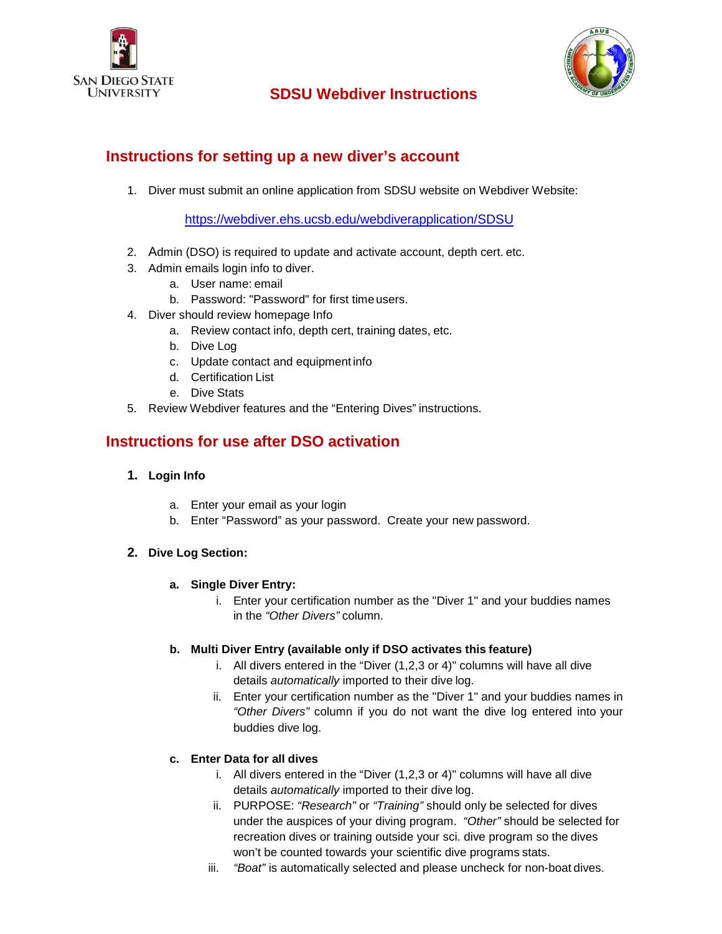

# **SDSU Webdiver Instructions**



# **Instructions for setting up a new diver's account**

1. Diver must submit an online application from SDSU website on Webdiver Website:

<https://webdiver.ehs.ucsb.edu/webdiverapplication/SDSU>

- 2. Admin (DSO) is required to update and activate account, depth cert. etc.
- 3. Admin emails login info to diver.
	- a. User name: email
	- b. Password: "Password" for first timeusers.
- 4. Diver should review homepage Info
	- a. Review contact info, depth cert, training dates, etc.
	- b. Dive Log
	- c. Update contact and equipment info
	- d. Certification List
	- e. Dive Stats
- 5. Review Webdiver features and the "Entering Dives" instructions.

# **Instructions for use after DSO activation**

## **1. Login Info**

- a. Enter your email as your login
- b. Enter "Password" as your password. Create your new password.

## **2. Dive Log Section:**

- **a. Single Diver Entry:**
	- i. Enter your certification number as the "Diver 1" and your buddies names in the *"Other Divers"* column.

## **b. Multi Diver Entry (available only if DSO activates this feature)**

- i. All divers entered in the "Diver (1,2,3 or 4)" columns will have all dive details *automatically* imported to their dive log.
- ii. Enter your certification number as the "Diver 1" and your buddies names in *"Other Divers"* column if you do not want the dive log entered into your buddies dive log.

## **c. Enter Data for all dives**

- i. All divers entered in the "Diver (1,2,3 or 4)" columns will have all dive details *automatically* imported to their dive log.
- ii. PURPOSE: *"Research"* or *"Training"* should only be selected for dives under the auspices of your diving program. *"Other"* should be selected for recreation dives or training outside your sci. dive program so the dives won't be counted towards your scientific dive programs stats.
- iii. *"Boat"* is automatically selected and please uncheck for non-boat dives.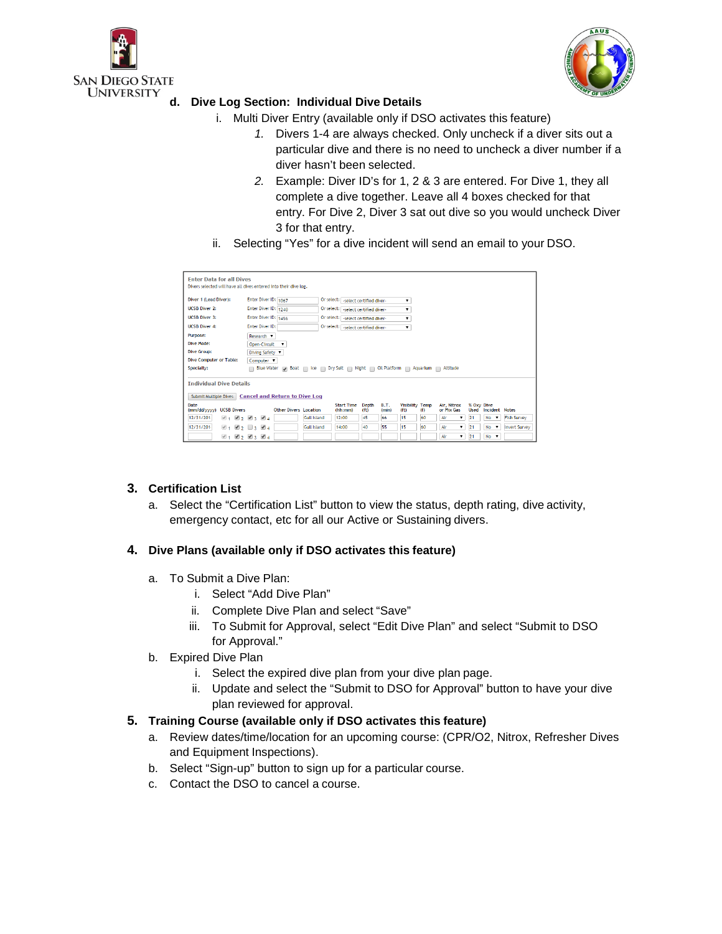



## **d. Dive Log Section: Individual Dive Details**

- i. Multi Diver Entry (available only if DSO activates this feature)
	- *1.* Divers 1-4 are always checked. Only uncheck if a diver sits out a particular dive and there is no need to uncheck a diver number if a diver hasn't been selected.
	- *2.* Example: Diver ID's for 1, 2 & 3 are entered. For Dive 1, they all complete a dive together. Leave all 4 boxes checked for that entry. For Dive 2, Diver 3 sat out dive so you would uncheck Diver 3 for that entry.
- ii. Selecting "Yes" for a dive incident will send an email to your DSO.

| <b>Enter Data for all Dives</b>                                                                      |                                 |                             |                                                            |                                                 |                                  |                    |                                   |                      |
|------------------------------------------------------------------------------------------------------|---------------------------------|-----------------------------|------------------------------------------------------------|-------------------------------------------------|----------------------------------|--------------------|-----------------------------------|----------------------|
| Divers selected will have all dives entered into their dive log.                                     |                                 |                             |                                                            |                                                 |                                  |                    |                                   |                      |
| Diver 1 (Lead Diver):                                                                                | Enter Diver ID: 1067            |                             | Or select: select certified diver-                         |                                                 |                                  |                    |                                   |                      |
| <b>UCSB Diver 2:</b>                                                                                 | Enter Diver ID: 1240            |                             | Or select: select certified diver-                         |                                                 |                                  |                    |                                   |                      |
| <b>UCSB Diver 3:</b>                                                                                 | Enter Diver ID: 1456            |                             | Or select: select certified diver-                         |                                                 |                                  |                    |                                   |                      |
| <b>UCSB Diver 4:</b>                                                                                 | Enter Diver ID:                 |                             | Or select: select certified diver-                         | $\pmb{\mathrm{v}}$                              |                                  |                    |                                   |                      |
| Purpose:                                                                                             | Research v                      |                             |                                                            |                                                 |                                  |                    |                                   |                      |
| Dive Mode:                                                                                           | Open-Circuit                    |                             |                                                            |                                                 |                                  |                    |                                   |                      |
| Dive Group:                                                                                          | Diving Safety                   |                             |                                                            |                                                 |                                  |                    |                                   |                      |
| Dive Computer or Table:                                                                              | Computer <b>v</b>               |                             |                                                            |                                                 |                                  |                    |                                   |                      |
| Specialty:<br>Blue Water Disc at no loe no Dry Suit no Night no Oil Platform no Aquarium no Altitude |                                 |                             |                                                            |                                                 |                                  |                    |                                   |                      |
| <b>Individual Dive Details</b><br>Submit Multiple Dives Cancel and Return to Dive Log                |                                 |                             |                                                            |                                                 |                                  |                    |                                   |                      |
| Date<br>(mm/dd/yyyy) UCSB Divers                                                                     | <b>Other Divers Location</b>    |                             | <b>Start Time</b><br>Depth<br>(hh:mm)<br>(f <sub>t</sub> ) | <b>B.T.</b><br>Visibility Temp<br>(ft)<br>(min) | Air, Nitrox<br>or Mix Gas<br>(f) | % Oxy Dive<br>Used | Incident                          | <b>Notes</b>         |
| 12/31/201-<br>$\mathcal{A}$ 1                                                                        | 124                             | <b>Gull Island</b><br>12:00 | 45                                                         | 66<br>15                                        | 60<br>Air                        | 21<br>▼            | <b>No</b><br>$\pmb{\mathrm{v}}$   | <b>Fish Survey</b>   |
| 12/31/201-<br>$\mathcal{A}$ 1                                                                        | $\mathbf{Z}_2$ 3 $\mathbf{Z}_4$ | <b>Gull Island</b><br>14:00 | 40                                                         | 55<br>15                                        | 60<br>Air                        | 21                 | <b>No</b><br>$\blacktriangledown$ | <b>Invert Survey</b> |
| $\mathcal{A}$ 1                                                                                      | 2834                            |                             |                                                            |                                                 | Air                              | 21                 | <b>No</b><br>▼                    |                      |

## **3. Certification List**

a. Select the "Certification List" button to view the status, depth rating, dive activity, emergency contact, etc for all our Active or Sustaining divers.

## **4. Dive Plans (available only if DSO activates this feature)**

- a. To Submit a Dive Plan:
	- i. Select "Add Dive Plan"
	- ii. Complete Dive Plan and select "Save"
	- iii. To Submit for Approval, select "Edit Dive Plan" and select "Submit to DSO for Approval."
- b. Expired Dive Plan
	- i. Select the expired dive plan from your dive plan page.
	- ii. Update and select the "Submit to DSO for Approval" button to have your dive plan reviewed for approval.

## **5. Training Course (available only if DSO activates this feature)**

- a. Review dates/time/location for an upcoming course: (CPR/O2, Nitrox, Refresher Dives and Equipment Inspections).
- b. Select "Sign-up" button to sign up for a particular course.
- c. Contact the DSO to cancel a course.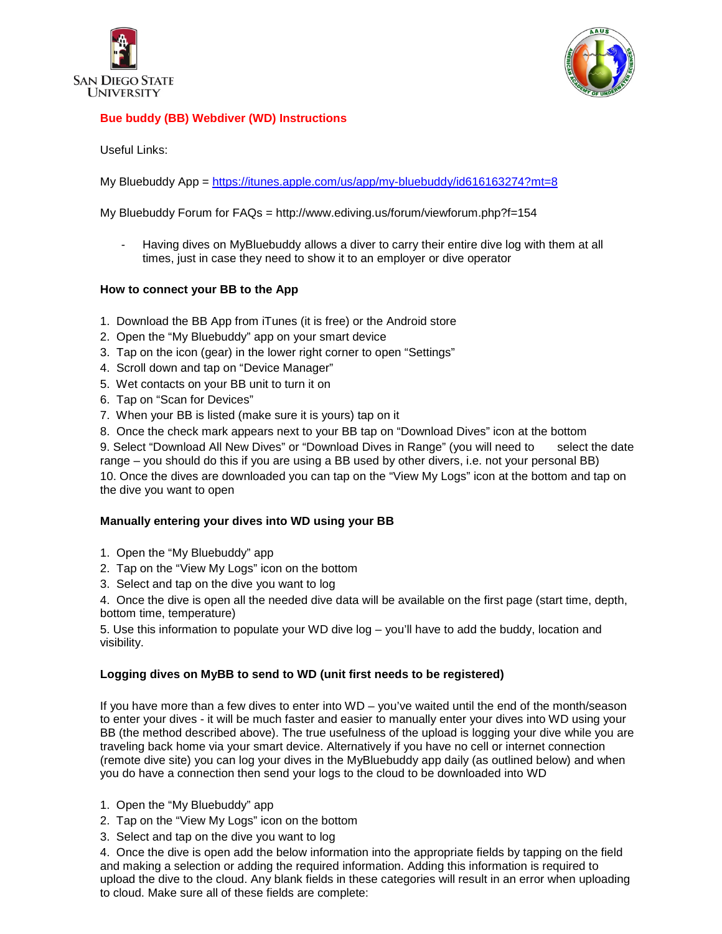



#### **Bue buddy (BB) Webdiver (WD) Instructions**

Useful Links:

My Bluebuddy App = <https://itunes.apple.com/us/app/my-bluebuddy/id616163274?mt=8>

#### My Bluebuddy Forum for FAQs = http://www.ediving.us/forum/viewforum.php?f=154

Having dives on MyBluebuddy allows a diver to carry their entire dive log with them at all times, just in case they need to show it to an employer or dive operator

#### **How to connect your BB to the App**

- 1. Download the BB App from iTunes (it is free) or the Android store
- 2. Open the "My Bluebuddy" app on your smart device
- 3. Tap on the icon (gear) in the lower right corner to open "Settings"
- 4. Scroll down and tap on "Device Manager"
- 5. Wet contacts on your BB unit to turn it on
- 6. Tap on "Scan for Devices"
- 7. When your BB is listed (make sure it is yours) tap on it
- 8. Once the check mark appears next to your BB tap on "Download Dives" icon at the bottom

9. Select "Download All New Dives" or "Download Dives in Range" (you will need to select the date range – you should do this if you are using a BB used by other divers, i.e. not your personal BB)

10. Once the dives are downloaded you can tap on the "View My Logs" icon at the bottom and tap on the dive you want to open

#### **Manually entering your dives into WD using your BB**

- 1. Open the "My Bluebuddy" app
- 2. Tap on the "View My Logs" icon on the bottom
- 3. Select and tap on the dive you want to log

4. Once the dive is open all the needed dive data will be available on the first page (start time, depth, bottom time, temperature)

5. Use this information to populate your WD dive log – you'll have to add the buddy, location and visibility.

#### **Logging dives on MyBB to send to WD (unit first needs to be registered)**

If you have more than a few dives to enter into WD – you've waited until the end of the month/season to enter your dives - it will be much faster and easier to manually enter your dives into WD using your BB (the method described above). The true usefulness of the upload is logging your dive while you are traveling back home via your smart device. Alternatively if you have no cell or internet connection (remote dive site) you can log your dives in the MyBluebuddy app daily (as outlined below) and when you do have a connection then send your logs to the cloud to be downloaded into WD

- 1. Open the "My Bluebuddy" app
- 2. Tap on the "View My Logs" icon on the bottom
- 3. Select and tap on the dive you want to log

4. Once the dive is open add the below information into the appropriate fields by tapping on the field and making a selection or adding the required information. Adding this information is required to upload the dive to the cloud. Any blank fields in these categories will result in an error when uploading to cloud. Make sure all of these fields are complete: